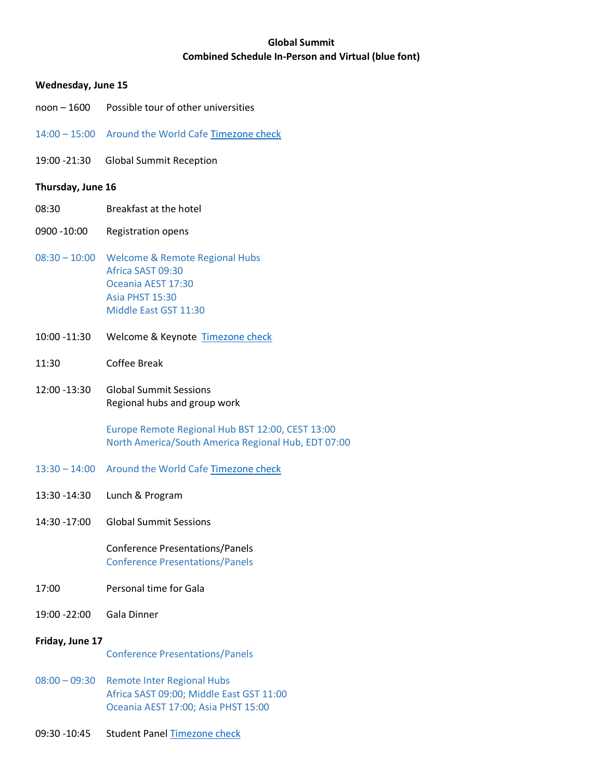# **Global Summit Combined Schedule In-Person and Virtual (blue font)**

### **Wednesday, June 15**

- noon 1600 Possible tour of other universities
- 14:00 15:00 Around the World Cafe [Timezone check](https://www.timeanddate.com/worldclock/converter.html?iso=20220615T130000&p1=78&p2=197&p3=776&p4=37&p5=170&p6=tz_hkt&p7=145&p8=47&p9=136&p10=111&p11=250&p12=232)
- 19:00 -21:30 Global Summit Reception

### **Thursday, June 16**

- 08:30 Breakfast at the hotel
- 0900 -10:00 Registration opens
- 08:30 10:00 Welcome & Remote Regional Hubs Africa SAST 09:30 Oceania AEST 17:30 Asia PHST 15:30 Middle East GST 11:30
- 10:00 -11:30 Welcome & Keynote [Timezone check](https://www.timeanddate.com/worldclock/converter.html?iso=20220616T090000&p1=78&p2=197&p3=776&p4=37&p5=170&p6=tz_hkt&p7=145&p8=47&p9=136&p10=111&p11=250&p12=232)
- 11:30 Coffee Break
- 12:00 -13:30 Global Summit Sessions Regional hubs and group work

Europe Remote Regional Hub BST 12:00, CEST 13:00 North America/South America Regional Hub, EDT 07:00

- 13:30 14:00 Around the World Cafe [Timezone check](https://www.timeanddate.com/worldclock/converter.html?iso=20220616T123000&p1=78&p2=197&p3=776&p4=37&p5=170&p6=tz_hkt&p7=145&p8=47&p9=136&p10=111&p11=250&p12=232)
- 13:30 -14:30 Lunch & Program
- 14:30 -17:00 Global Summit Sessions

Conference Presentations/Panels Conference Presentations/Panels

- 17:00 Personal time for Gala
- 19:00 -22:00 Gala Dinner

#### **Friday, June 17**

Conference Presentations/Panels

- 08:00 09:30 Remote Inter Regional Hubs Africa SAST 09:00; Middle East GST 11:00 Oceania AEST 17:00; Asia PHST 15:00
- 09:30 -10:45 Student Panel [Timezone check](https://www.timeanddate.com/worldclock/converter.html?iso=20220617T083000&p1=78&p2=197&p3=776&p4=170&p5=tz_hkt&p6=145&p7=47&p8=111&p9=250&p10=232)